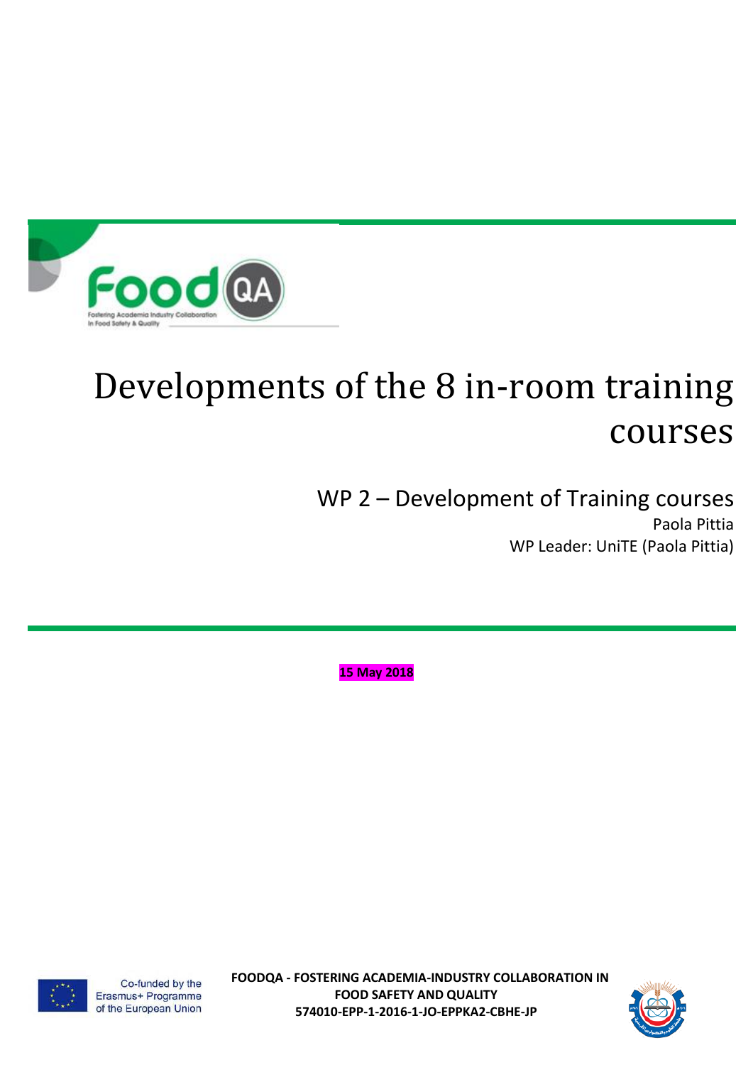

WP 2 – Development of Training courses Paola Pittia WP Leader: UniTE (Paola Pittia)

**15 May 2018**





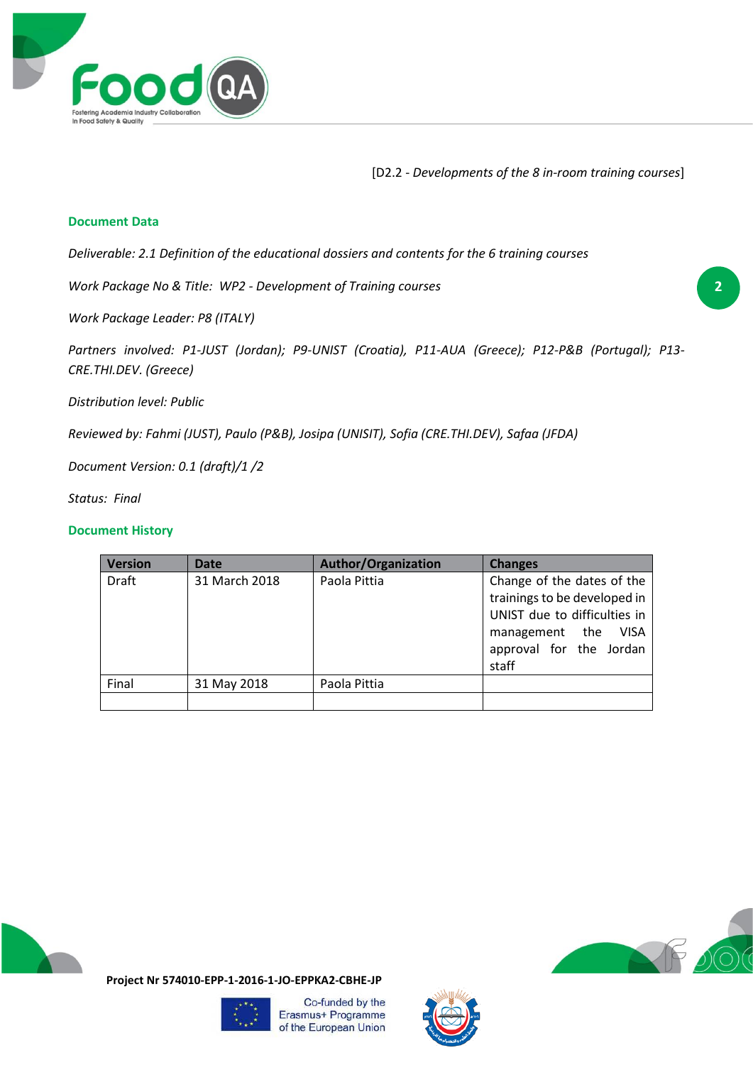

#### **Document Data**

*Deliverable: 2.1 Definition of the educational dossiers and contents for the 6 training courses*

*Work Package No & Title: WP2 - Development of Training courses*

*Work Package Leader: P8 (ITALY)*

*Partners involved: P1-JUST (Jordan); P9-UNIST (Croatia), P11-AUA (Greece); P12-P&B (Portugal); P13- CRE.THI.DEV. (Greece)* 

*Distribution level: Public*

*Reviewed by: Fahmi (JUST), Paulo (P&B), Josipa (UNISIT), Sofia (CRE.THI.DEV), Safaa (JFDA)*

*Document Version: 0.1 (draft)/1 /2*

*Status: Final*

#### **Document History**

| Version      | <b>Date</b>   | <b>Author/Organization</b> | <b>Changes</b>                                                                                                                                                  |  |
|--------------|---------------|----------------------------|-----------------------------------------------------------------------------------------------------------------------------------------------------------------|--|
| <b>Draft</b> | 31 March 2018 | Paola Pittia               | Change of the dates of the<br>trainings to be developed in<br>UNIST due to difficulties in<br><b>VISA</b><br>management the<br>approval for the Jordan<br>staff |  |
| Final        | 31 May 2018   | Paola Pittia               |                                                                                                                                                                 |  |
|              |               |                            |                                                                                                                                                                 |  |





**Project Nr 574010-EPP-1-2016-1-JO-EPPKA2-CBHE-JP**



Co-funded by the Erasmus+ Programme of the European Union

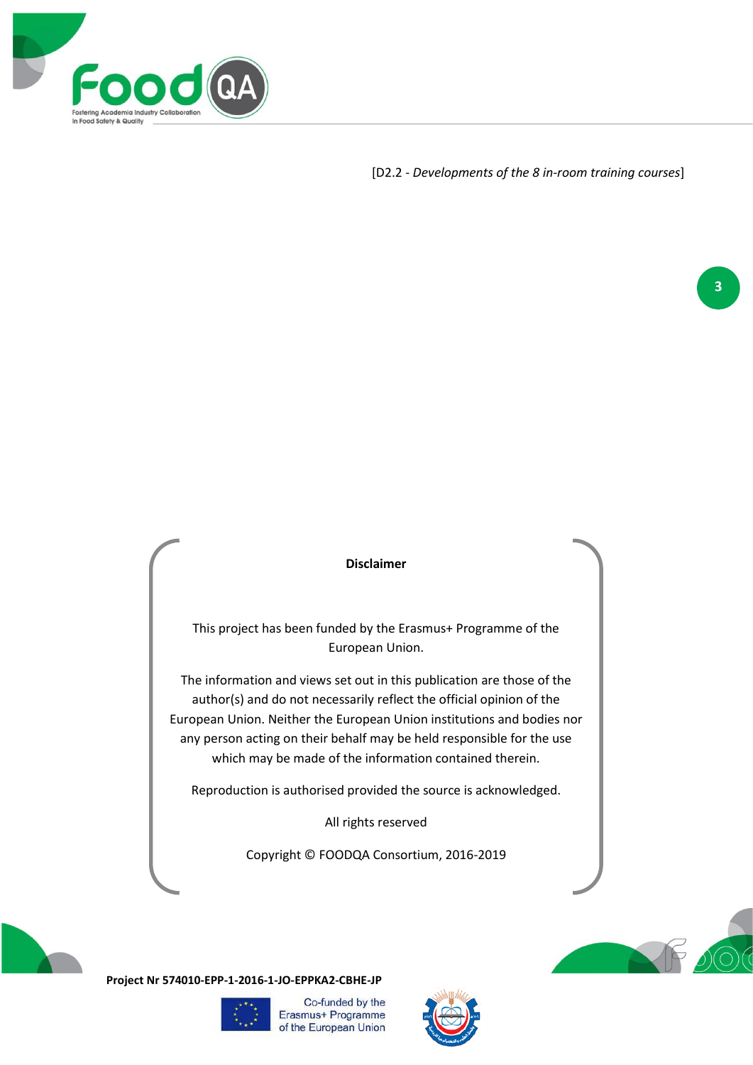

#### **Disclaimer**

This project has been funded by the Erasmus+ Programme of the European Union.

The information and views set out in this publication are those of the author(s) and do not necessarily reflect the official opinion of the European Union. Neither the European Union institutions and bodies nor any person acting on their behalf may be held responsible for the use which may be made of the information contained therein.

Reproduction is authorised provided the source is acknowledged.

All rights reserved

Copyright © FOODQA Consortium, 2016-2019



**Project Nr 574010-EPP-1-2016-1-JO-EPPKA2-CBHE-JP**







**3**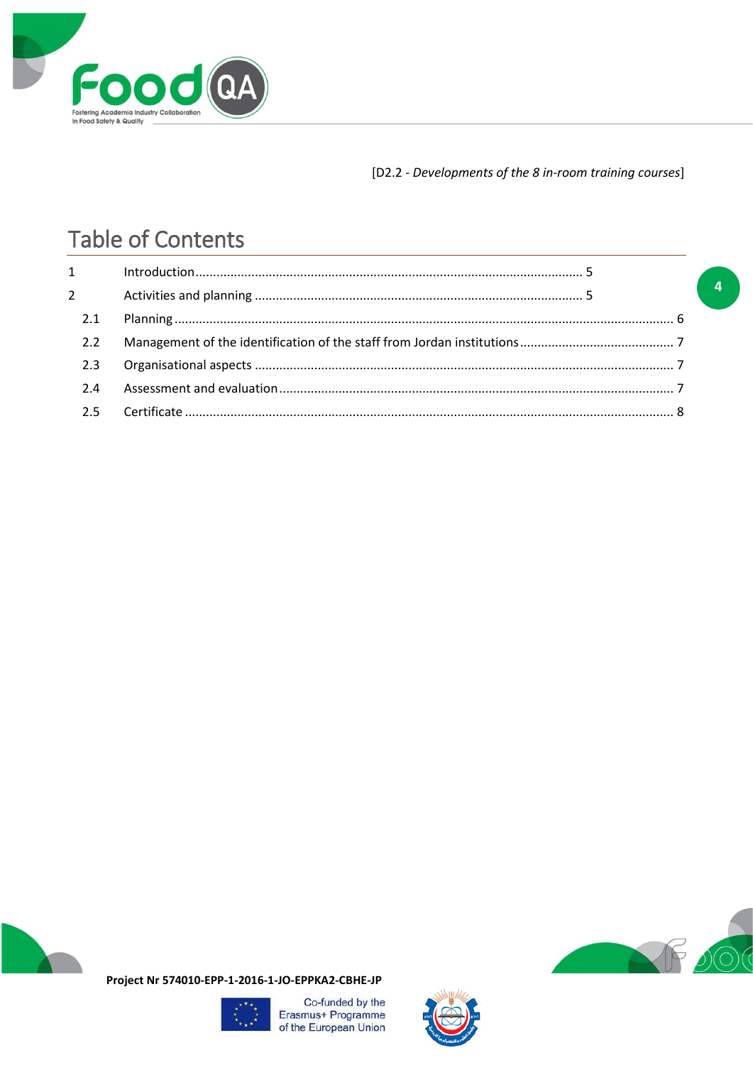

# **Table of Contents**

| $1 \quad \blacksquare$ |  |
|------------------------|--|
| $\overline{2}$         |  |
| 2.1                    |  |
| 2.2                    |  |
| 2.3                    |  |
| 2.4                    |  |
|                        |  |





 $\overline{a}$ 

Project Nr 574010-EPP-1-2016-1-JO-EPPKA2-CBHE-JP



Co-funded by the Erasmus+ Programme of the European Union

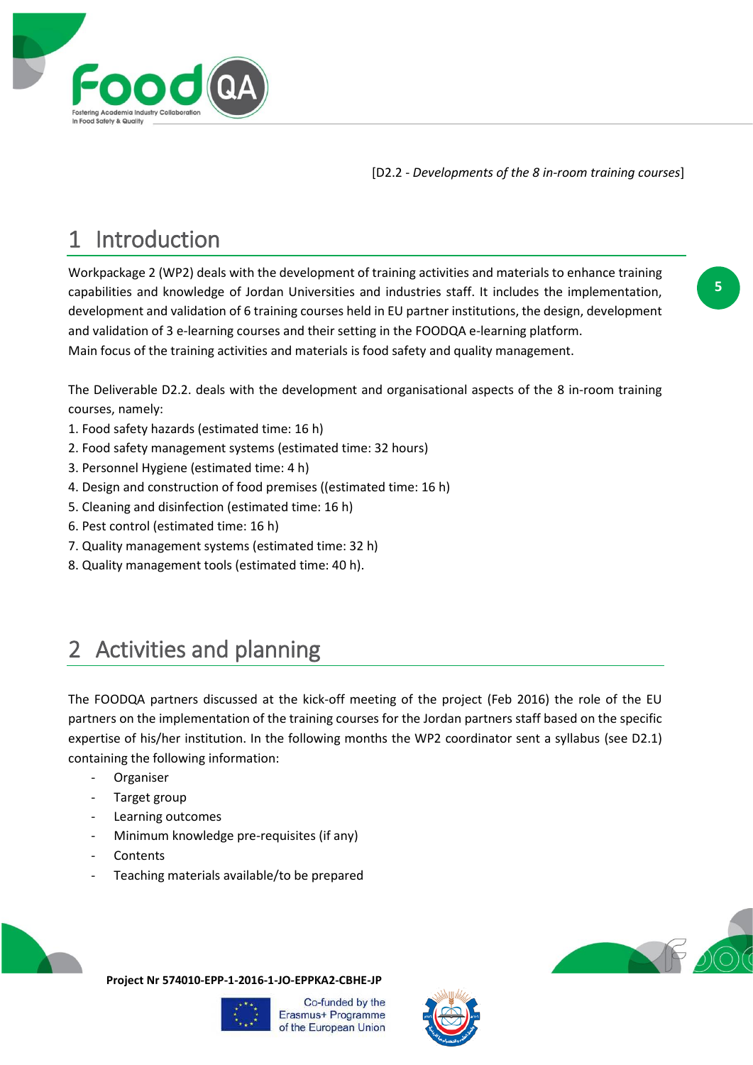

# <span id="page-4-0"></span>1 Introduction

Workpackage 2 (WP2) deals with the development of training activities and materials to enhance training capabilities and knowledge of Jordan Universities and industries staff. It includes the implementation, development and validation of 6 training courses held in EU partner institutions, the design, development and validation of 3 e-learning courses and their setting in the FOODQA e-learning platform. Main focus of the training activities and materials is food safety and quality management.

The Deliverable D2.2. deals with the development and organisational aspects of the 8 in-room training courses, namely:

- 1. Food safety hazards (estimated time: 16 h)
- 2. Food safety management systems (estimated time: 32 hours)
- 3. Personnel Hygiene (estimated time: 4 h)
- 4. Design and construction of food premises ((estimated time: 16 h)
- 5. Cleaning and disinfection (estimated time: 16 h)
- 6. Pest control (estimated time: 16 h)
- 7. Quality management systems (estimated time: 32 h)
- 8. Quality management tools (estimated time: 40 h).

# <span id="page-4-1"></span>Activities and planning

The FOODQA partners discussed at the kick-off meeting of the project (Feb 2016) the role of the EU partners on the implementation of the training courses for the Jordan partners staff based on the specific expertise of his/her institution. In the following months the WP2 coordinator sent a syllabus (see D2.1) containing the following information:

- Organiser
- Target group
- Learning outcomes
- Minimum knowledge pre-requisites (if any)
- **Contents**
- Teaching materials available/to be prepared



**Project Nr 574010-EPP-1-2016-1-JO-EPPKA2-CBHE-JP**



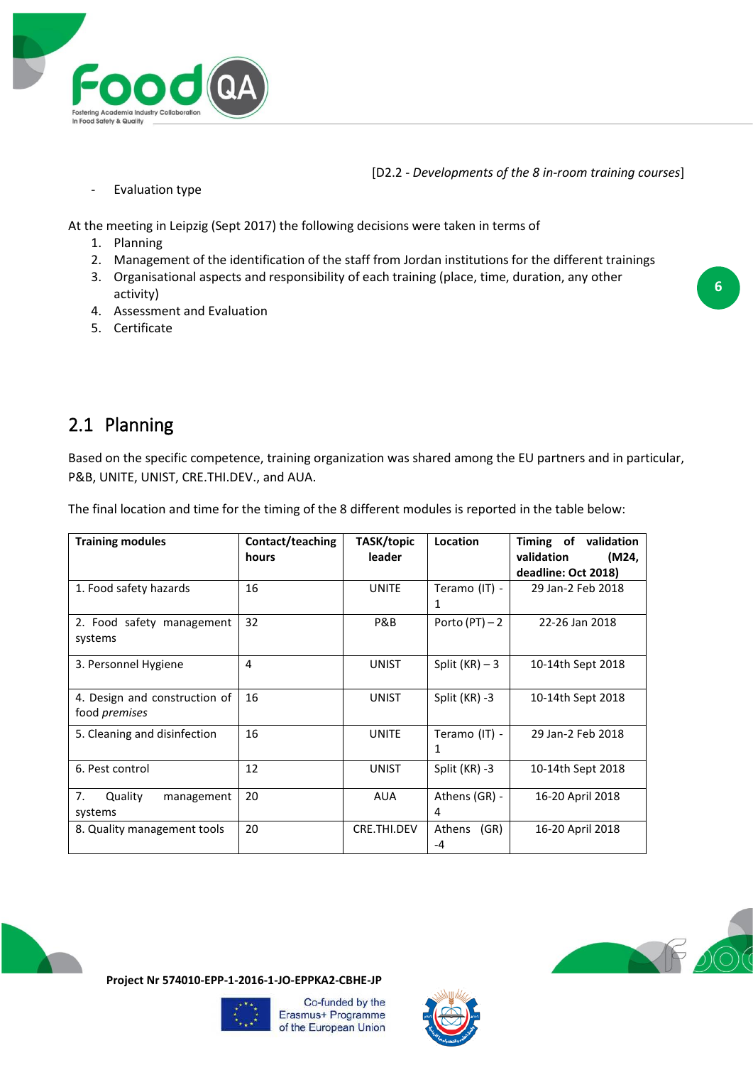

- Evaluation type

At the meeting in Leipzig (Sept 2017) the following decisions were taken in terms of

- 1. Planning
- 2. Management of the identification of the staff from Jordan institutions for the different trainings
- 3. Organisational aspects and responsibility of each training (place, time, duration, any other activity)
- 4. Assessment and Evaluation
- 5. Certificate

### <span id="page-5-0"></span>2.1 Planning

Based on the specific competence, training organization was shared among the EU partners and in particular, P&B, UNITE, UNIST, CRE.THI.DEV., and AUA.

| The final location and time for the timing of the 8 different modules is reported in the table below: |                           |                      |                    |                                                                    |  |  |  |
|-------------------------------------------------------------------------------------------------------|---------------------------|----------------------|--------------------|--------------------------------------------------------------------|--|--|--|
| <b>Training modules</b>                                                                               | Contact/teaching<br>hours | TASK/topic<br>leader | Location           | Timing of validation<br>validation<br>(M24,<br>deadline: Oct 2018) |  |  |  |
| 1. Food safety hazards                                                                                | 16                        | <b>UNITE</b>         | Teramo (IT) -<br>1 | 29 Jan-2 Feb 2018                                                  |  |  |  |
| 2. Food safety management<br>systems                                                                  | 32                        | P&B                  | Porto $(PT) - 2$   | 22-26 Jan 2018                                                     |  |  |  |
| 3. Personnel Hygiene                                                                                  | 4                         | <b>UNIST</b>         | Split $(KR) - 3$   | 10-14th Sept 2018                                                  |  |  |  |
| 4. Design and construction of<br>food <i>premises</i>                                                 | 16                        | <b>UNIST</b>         | Split (KR) -3      | 10-14th Sept 2018                                                  |  |  |  |
| 5. Cleaning and disinfection                                                                          | 16                        | <b>UNITE</b>         | Teramo (IT) -<br>1 | 29 Jan-2 Feb 2018                                                  |  |  |  |
| 6. Pest control                                                                                       | 12                        | <b>UNIST</b>         | Split (KR) -3      | 10-14th Sept 2018                                                  |  |  |  |
| 7.<br>Quality<br>management<br>systems                                                                | 20                        | <b>AUA</b>           | Athens (GR) -<br>4 | 16-20 April 2018                                                   |  |  |  |
| 8. Quality management tools                                                                           | 20                        | CRE.THI.DEV          | (GR)<br>Athens     | 16-20 April 2018                                                   |  |  |  |

The final location and time for the timing of the 8 different modules is reported in the table below:









-4

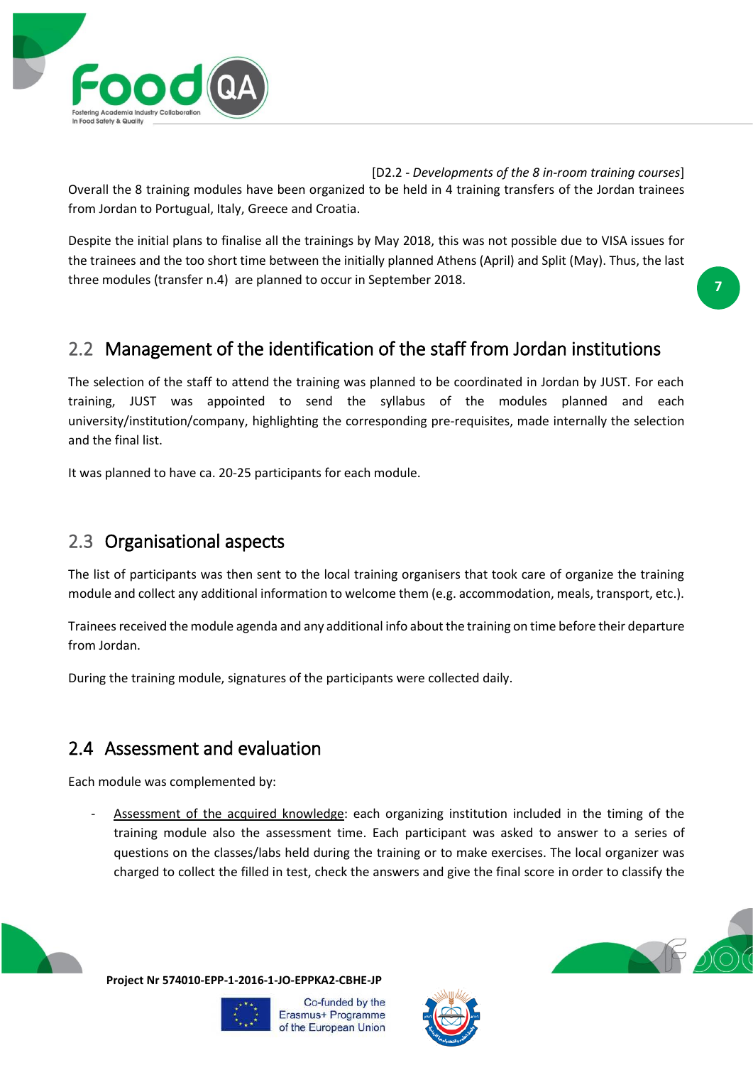

[D2.2 - *Developments of the 8 in-room training courses*] Overall the 8 training modules have been organized to be held in 4 training transfers of the Jordan trainees from Jordan to Portugual, Italy, Greece and Croatia.

Despite the initial plans to finalise all the trainings by May 2018, this was not possible due to VISA issues for the trainees and the too short time between the initially planned Athens (April) and Split (May). Thus, the last three modules (transfer n.4) are planned to occur in September 2018.

**7**

## <span id="page-6-0"></span>2.2 Management of the identification of the staff from Jordan institutions

The selection of the staff to attend the training was planned to be coordinated in Jordan by JUST. For each training, JUST was appointed to send the syllabus of the modules planned and each university/institution/company, highlighting the corresponding pre-requisites, made internally the selection and the final list.

It was planned to have ca. 20-25 participants for each module.

### <span id="page-6-1"></span>2.3 Organisational aspects

The list of participants was then sent to the local training organisers that took care of organize the training module and collect any additional information to welcome them (e.g. accommodation, meals, transport, etc.).

Trainees received the module agenda and any additional info about the training on time before their departure from Jordan.

During the training module, signatures of the participants were collected daily.

### <span id="page-6-2"></span>2.4 Assessment and evaluation

Each module was complemented by:

Assessment of the acquired knowledge: each organizing institution included in the timing of the training module also the assessment time. Each participant was asked to answer to a series of questions on the classes/labs held during the training or to make exercises. The local organizer was charged to collect the filled in test, check the answers and give the final score in order to classify the



**Project Nr 574010-EPP-1-2016-1-JO-EPPKA2-CBHE-JP**